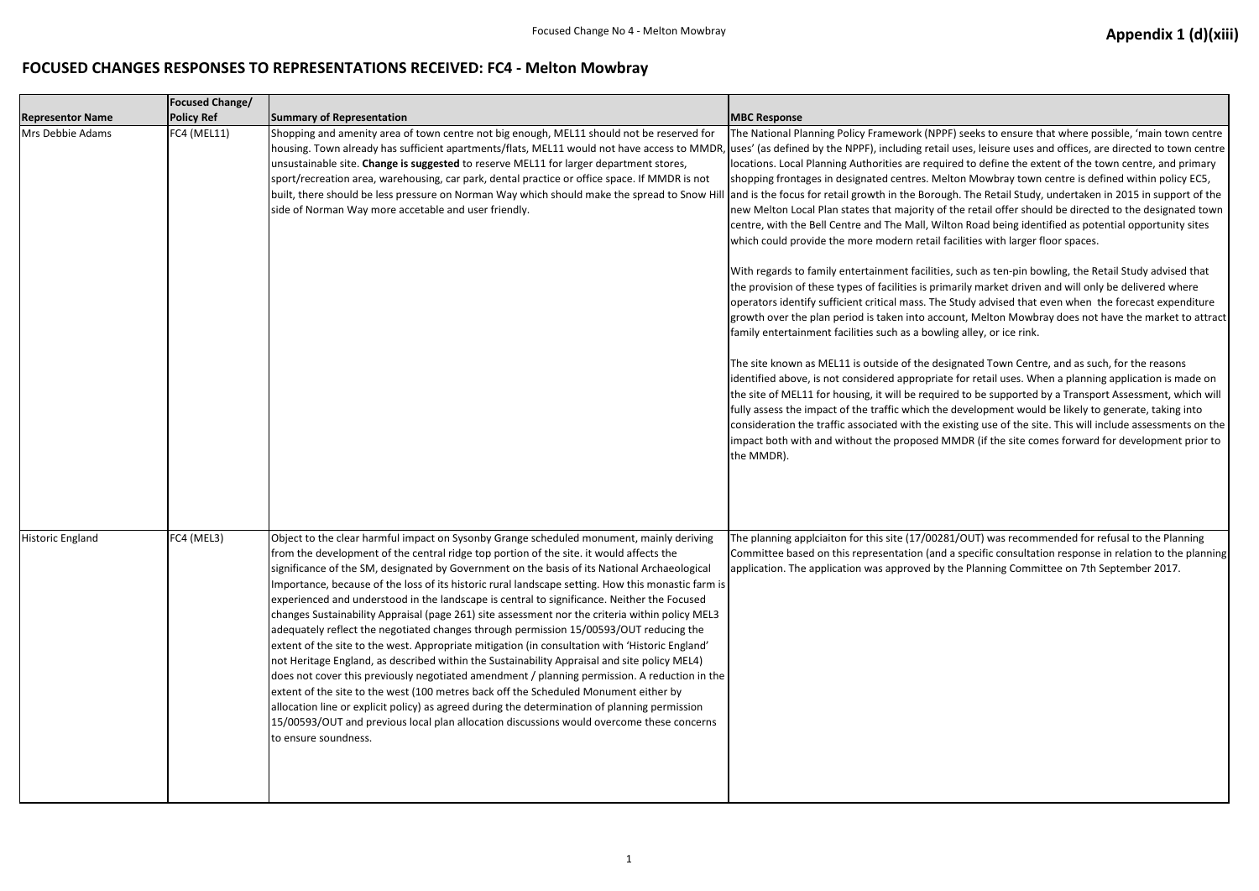## **FOCUSED CHANGES RESPONSES TO REPRESENTATIONS RECEIVED: FC4 - Melton Mowbray**

| <b>Representor Name</b> | <b>Focused Change/</b><br><b>Policy Ref</b> | <b>Summary of Representation</b>                                                                                                                                                                                                                                                                                                                                                                                                                                                                                                                                                                                                                                                                                                                                                                                                                                                                                                                                                                                                                                                                                                                                                                                                                                                                        | <b>MBC Response</b>                                                                                                                                                                                                                                                                                                                                                                                                                                                                                                                                                                                                                                                                                                                                                                                                                                                                                       |
|-------------------------|---------------------------------------------|---------------------------------------------------------------------------------------------------------------------------------------------------------------------------------------------------------------------------------------------------------------------------------------------------------------------------------------------------------------------------------------------------------------------------------------------------------------------------------------------------------------------------------------------------------------------------------------------------------------------------------------------------------------------------------------------------------------------------------------------------------------------------------------------------------------------------------------------------------------------------------------------------------------------------------------------------------------------------------------------------------------------------------------------------------------------------------------------------------------------------------------------------------------------------------------------------------------------------------------------------------------------------------------------------------|-----------------------------------------------------------------------------------------------------------------------------------------------------------------------------------------------------------------------------------------------------------------------------------------------------------------------------------------------------------------------------------------------------------------------------------------------------------------------------------------------------------------------------------------------------------------------------------------------------------------------------------------------------------------------------------------------------------------------------------------------------------------------------------------------------------------------------------------------------------------------------------------------------------|
| Mrs Debbie Adams        | FC4 (MEL11)                                 | Shopping and amenity area of town centre not big enough, MEL11 should not be reserved for<br>housing. Town already has sufficient apartments/flats, MEL11 would not have access to MMDR, uses' (as defined by the NPPF), including retail<br>unsustainable site. Change is suggested to reserve MEL11 for larger department stores,<br>sport/recreation area, warehousing, car park, dental practice or office space. If MMDR is not<br>built, there should be less pressure on Norman Way which should make the spread to Snow Hill and is the focus for retail growth in the Boroug<br>side of Norman Way more accetable and user friendly.                                                                                                                                                                                                                                                                                                                                                                                                                                                                                                                                                                                                                                                           | The National Planning Policy Framework (NPPI<br>locations. Local Planning Authorities are require<br>shopping frontages in designated centres. Mel<br>new Melton Local Plan states that majority of<br>centre, with the Bell Centre and The Mall, Wilt<br>which could provide the more modern retail fa<br>With regards to family entertainment facilities<br>the provision of these types of facilities is prim<br>operators identify sufficient critical mass. The<br>growth over the plan period is taken into acco<br>family entertainment facilities such as a bowlir<br>The site known as MEL11 is outside of the desi<br>identified above, is not considered appropriate<br>the site of MEL11 for housing, it will be require<br>fully assess the impact of the traffic which the<br>consideration the traffic associated with the ex<br>impact both with and without the proposed M<br>the MMDR). |
| Historic England        | FC4 (MEL3)                                  | Object to the clear harmful impact on Sysonby Grange scheduled monument, mainly deriving<br>from the development of the central ridge top portion of the site. it would affects the<br>significance of the SM, designated by Government on the basis of its National Archaeological<br>Importance, because of the loss of its historic rural landscape setting. How this monastic farm is<br>experienced and understood in the landscape is central to significance. Neither the Focused<br>changes Sustainability Appraisal (page 261) site assessment nor the criteria within policy MEL3<br>adequately reflect the negotiated changes through permission 15/00593/OUT reducing the<br>extent of the site to the west. Appropriate mitigation (in consultation with 'Historic England'<br>not Heritage England, as described within the Sustainability Appraisal and site policy MEL4)<br>does not cover this previously negotiated amendment / planning permission. A reduction in the<br>extent of the site to the west (100 metres back off the Scheduled Monument either by<br>allocation line or explicit policy) as agreed during the determination of planning permission<br>15/00593/OUT and previous local plan allocation discussions would overcome these concerns<br>to ensure soundness. | The planning applciaiton for this site (17/0028<br>Committee based on this representation (and<br>application. The application was approved by t                                                                                                                                                                                                                                                                                                                                                                                                                                                                                                                                                                                                                                                                                                                                                          |

F) seeks to ensure that where possible, 'main town centre luses, leisure uses and offices, are directed to town centre ired to define the extent of the town centre, and primary lton Mowbray town centre is defined within policy EC5, gh. The Retail Study, undertaken in 2015 in support of the the retail offer should be directed to the designated town ton Road being identified as potential opportunity sites acilities with larger floor spaces.

s, such as ten-pin bowling, the Retail Study advised that narily market driven and will only be delivered where Study advised that even when the forecast expenditure bunt, Melton Mowbray does not have the market to attract ing alley, or ice rink.

signated Town Centre, and as such, for the reasons ie for retail uses. When a planning application is made on ed to be supported by a Transport Assessment, which will development would be likely to generate, taking into existing use of the site. This will include assessments on the IMDR (if the site comes forward for development prior to

Reflout and planning apply in the planning interpended for refusal to the Planning a specific consultation response in relation to the planning the Planning Committee on 7th September 2017.